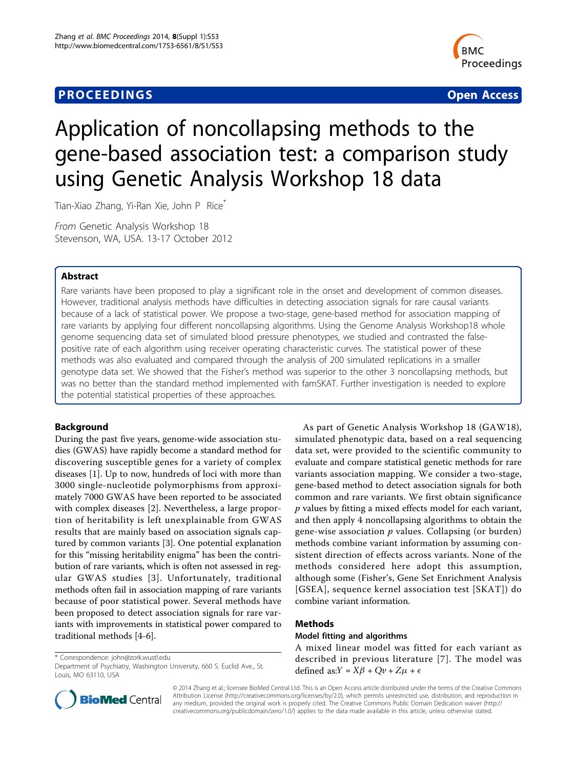# **PROCEEDINGS STATES CONSUMING S** Open Access **CONSUMING S**



# Application of noncollapsing methods to the gene-based association test: a comparison study using Genetic Analysis Workshop 18 data

Tian-Xiao Zhang, Yi-Ran Xie, John P Rice<sup>\*</sup>

From Genetic Analysis Workshop 18 Stevenson, WA, USA. 13-17 October 2012

# Abstract

Rare variants have been proposed to play a significant role in the onset and development of common diseases. However, traditional analysis methods have difficulties in detecting association signals for rare causal variants because of a lack of statistical power. We propose a two-stage, gene-based method for association mapping of rare variants by applying four different noncollapsing algorithms. Using the Genome Analysis Workshop18 whole genome sequencing data set of simulated blood pressure phenotypes, we studied and contrasted the falsepositive rate of each algorithm using receiver operating characteristic curves. The statistical power of these methods was also evaluated and compared through the analysis of 200 simulated replications in a smaller genotype data set. We showed that the Fisher's method was superior to the other 3 noncollapsing methods, but was no better than the standard method implemented with famSKAT. Further investigation is needed to explore the potential statistical properties of these approaches.

# Background

During the past five years, genome-wide association studies (GWAS) have rapidly become a standard method for discovering susceptible genes for a variety of complex diseases [\[1](#page-4-0)]. Up to now, hundreds of loci with more than 3000 single-nucleotide polymorphisms from approximately 7000 GWAS have been reported to be associated with complex diseases [[2\]](#page-5-0). Nevertheless, a large proportion of heritability is left unexplainable from GWAS results that are mainly based on association signals captured by common variants [[3\]](#page-5-0). One potential explanation for this "missing heritability enigma" has been the contribution of rare variants, which is often not assessed in regular GWAS studies [[3](#page-5-0)]. Unfortunately, traditional methods often fail in association mapping of rare variants because of poor statistical power. Several methods have been proposed to detect association signals for rare variants with improvements in statistical power compared to traditional methods [\[4](#page-5-0)-[6\]](#page-5-0).

\* Correspondence: [john@zork.wustl.edu](mailto:john@zork.wustl.edu)

Department of Psychiatry, Washington University, 660 S. Euclid Ave., St. Louis, MO 63110, USA

As part of Genetic Analysis Workshop 18 (GAW18), simulated phenotypic data, based on a real sequencing data set, were provided to the scientific community to evaluate and compare statistical genetic methods for rare variants association mapping. We consider a two-stage, gene-based method to detect association signals for both common and rare variants. We first obtain significance p values by fitting a mixed effects model for each variant, and then apply 4 noncollapsing algorithms to obtain the gene-wise association  $p$  values. Collapsing (or burden) methods combine variant information by assuming consistent direction of effects across variants. None of the methods considered here adopt this assumption, although some (Fisher's, Gene Set Enrichment Analysis [GSEA], sequence kernel association test [SKAT]) do combine variant information.

# Methods

#### Model fitting and algorithms

A mixed linear model was fitted for each variant as described in previous literature [[7](#page-5-0)]. The model was defined as: $Y = X\beta + Qv + Z\mu + \epsilon$ 



© 2014 Zhang et al.; licensee BioMed Central Ltd. This is an Open Access article distributed under the terms of the Creative Commons Attribution License [\(http://creativecommons.org/licenses/by/2.0](http://creativecommons.org/licenses/by/2.0)), which permits unrestricted use, distribution, and reproduction in any medium, provided the original work is properly cited. The Creative Commons Public Domain Dedication waiver [\(http://](http://creativecommons.org/publicdomain/zero/1.0/) [creativecommons.org/publicdomain/zero/1.0/](http://creativecommons.org/publicdomain/zero/1.0/)) applies to the data made available in this article, unless otherwise stated.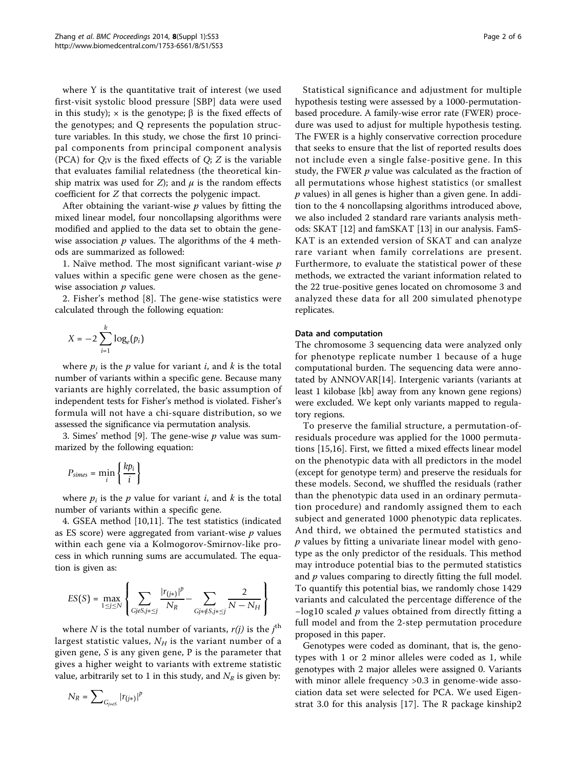where Y is the quantitative trait of interest (we used first-visit systolic blood pressure [SBP] data were used in this study);  $\times$  is the genotype;  $\beta$  is the fixed effects of the genotypes; and Q represents the population structure variables. In this study, we chose the first 10 principal components from principal component analysis (PCA) for  $Q;$  is the fixed effects of  $Q; Z$  is the variable that evaluates familial relatedness (the theoretical kinship matrix was used for  $Z$ ); and  $\mu$  is the random effects coefficient for Z that corrects the polygenic impact.

After obtaining the variant-wise  $p$  values by fitting the mixed linear model, four noncollapsing algorithms were modified and applied to the data set to obtain the genewise association  $p$  values. The algorithms of the 4 methods are summarized as followed:

1. Naïve method. The most significant variant-wise  $p$ values within a specific gene were chosen as the genewise association  $p$  values.

2. Fisher's method [[8\]](#page-5-0). The gene-wise statistics were calculated through the following equation:

$$
X = -2 \sum_{i=1}^{k} \log_e(p_i)
$$

where  $p_i$  is the p value for variant i, and k is the total number of variants within a specific gene. Because many variants are highly correlated, the basic assumption of independent tests for Fisher's method is violated. Fisher's formula will not have a chi-square distribution, so we assessed the significance via permutation analysis.

3. Simes' method [\[9\]](#page-5-0). The gene-wise  $p$  value was summarized by the following equation:

$$
P_{\text{simes}} = \min_{i} \left\{ \frac{k p_i}{i} \right\}
$$

where  $p_i$  is the p value for variant i, and k is the total number of variants within a specific gene.

4. GSEA method [[10,11\]](#page-5-0). The test statistics (indicated as ES score) were aggregated from variant-wise  $p$  values within each gene via a Kolmogorov-Smirnov-like process in which running sums are accumulated. The equation is given as:

$$
ES(S) = \max_{1 \leq j \leq N} \left\{ \sum_{GjeS, j*\leq j} \frac{|r_{(j*)}|^p}{N_R} - \sum_{Gj*\notin S, j*\leq j} \frac{2}{N - N_H} \right\}
$$

where  $N$  is the total number of variants,  $r(j)$  is the  $j^{\text{th}}$ largest statistic values,  $N_H$  is the variant number of a given gene, S is any given gene, P is the parameter that gives a higher weight to variants with extreme statistic value, arbitrarily set to 1 in this study, and  $N_R$  is given by:

$$
N_R=\sum\nolimits_{G_{j*es}} |r_{(j*)}|^p
$$

Statistical significance and adjustment for multiple hypothesis testing were assessed by a 1000-permutationbased procedure. A family-wise error rate (FWER) procedure was used to adjust for multiple hypothesis testing. The FWER is a highly conservative correction procedure that seeks to ensure that the list of reported results does not include even a single false-positive gene. In this study, the FWER  $p$  value was calculated as the fraction of all permutations whose highest statistics (or smallest  $p$  values) in all genes is higher than a given gene. In addition to the 4 noncollapsing algorithms introduced above, we also included 2 standard rare variants analysis methods: SKAT [\[12](#page-5-0)] and famSKAT [[13](#page-5-0)] in our analysis. FamS-KAT is an extended version of SKAT and can analyze rare variant when family correlations are present. Furthermore, to evaluate the statistical power of these methods, we extracted the variant information related to the 22 true-positive genes located on chromosome 3 and analyzed these data for all 200 simulated phenotype replicates.

#### Data and computation

The chromosome 3 sequencing data were analyzed only for phenotype replicate number 1 because of a huge computational burden. The sequencing data were annotated by ANNOVAR[[14\]](#page-5-0). Intergenic variants (variants at least 1 kilobase [kb] away from any known gene regions) were excluded. We kept only variants mapped to regulatory regions.

To preserve the familial structure, a permutation-ofresiduals procedure was applied for the 1000 permutations [[15,16\]](#page-5-0). First, we fitted a mixed effects linear model on the phenotypic data with all predictors in the model (except for genotype term) and preserve the residuals for these models. Second, we shuffled the residuals (rather than the phenotypic data used in an ordinary permutation procedure) and randomly assigned them to each subject and generated 1000 phenotypic data replicates. And third, we obtained the permuted statistics and  $p$  values by fitting a univariate linear model with genotype as the only predictor of the residuals. This method may introduce potential bias to the permuted statistics and  $p$  values comparing to directly fitting the full model. To quantify this potential bias, we randomly chose 1429 variants and calculated the percentage difference of the −log10 scaled p values obtained from directly fitting a full model and from the 2-step permutation procedure proposed in this paper.

Genotypes were coded as dominant, that is, the genotypes with 1 or 2 minor alleles were coded as 1, while genotypes with 2 major alleles were assigned 0. Variants with minor allele frequency >0.3 in genome-wide association data set were selected for PCA. We used Eigenstrat 3.0 for this analysis [[17](#page-5-0)]. The R package kinship2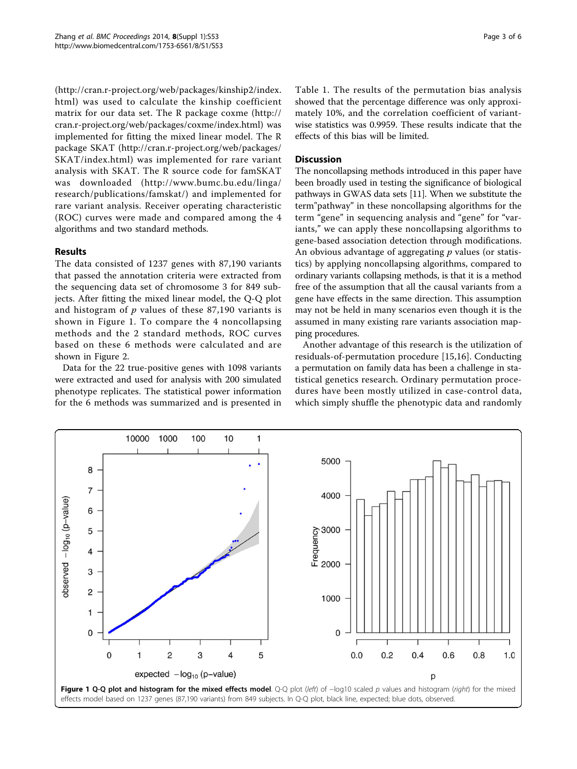([http://cran.r-project.org/web/packages/kinship2/index.](http://cran.r-project.org/web/packages/kinship2/index.html) [html\)](http://cran.r-project.org/web/packages/kinship2/index.html) was used to calculate the kinship coefficient matrix for our data set. The R package coxme ([http://](http://cran.r-project.org/web/packages/coxme/index.html) [cran.r-project.org/web/packages/coxme/index.html\)](http://cran.r-project.org/web/packages/coxme/index.html) was implemented for fitting the mixed linear model. The R package SKAT [\(http://cran.r-project.org/web/packages/](http://cran.r-project.org/web/packages/SKAT/index.html) [SKAT/index.html](http://cran.r-project.org/web/packages/SKAT/index.html)) was implemented for rare variant analysis with SKAT. The R source code for famSKAT was downloaded ([http://www.bumc.bu.edu/linga/](http://www.bumc.bu.edu/linga/research/publications/famskat/) [research/publications/famskat/](http://www.bumc.bu.edu/linga/research/publications/famskat/)) and implemented for rare variant analysis. Receiver operating characteristic (ROC) curves were made and compared among the 4 algorithms and two standard methods.

# Results

The data consisted of 1237 genes with 87,190 variants that passed the annotation criteria were extracted from the sequencing data set of chromosome 3 for 849 subjects. After fitting the mixed linear model, the Q-Q plot and histogram of  $p$  values of these 87,190 variants is shown in Figure 1. To compare the 4 noncollapsing methods and the 2 standard methods, ROC curves based on these 6 methods were calculated and are shown in Figure [2](#page-3-0).

Data for the 22 true-positive genes with 1098 variants were extracted and used for analysis with 200 simulated phenotype replicates. The statistical power information for the 6 methods was summarized and is presented in

Table [1](#page-3-0). The results of the permutation bias analysis showed that the percentage difference was only approximately 10%, and the correlation coefficient of variantwise statistics was 0.9959. These results indicate that the effects of this bias will be limited.

## **Discussion**

The noncollapsing methods introduced in this paper have been broadly used in testing the significance of biological pathways in GWAS data sets [\[11\]](#page-5-0). When we substitute the term"pathway" in these noncollapsing algorithms for the term "gene" in sequencing analysis and "gene" for "variants," we can apply these noncollapsing algorithms to gene-based association detection through modifications. An obvious advantage of aggregating  $p$  values (or statistics) by applying noncollapsing algorithms, compared to ordinary variants collapsing methods, is that it is a method free of the assumption that all the causal variants from a gene have effects in the same direction. This assumption may not be held in many scenarios even though it is the assumed in many existing rare variants association mapping procedures.

Another advantage of this research is the utilization of residuals-of-permutation procedure [\[15](#page-5-0),[16\]](#page-5-0). Conducting a permutation on family data has been a challenge in statistical genetics research. Ordinary permutation procedures have been mostly utilized in case-control data, which simply shuffle the phenotypic data and randomly

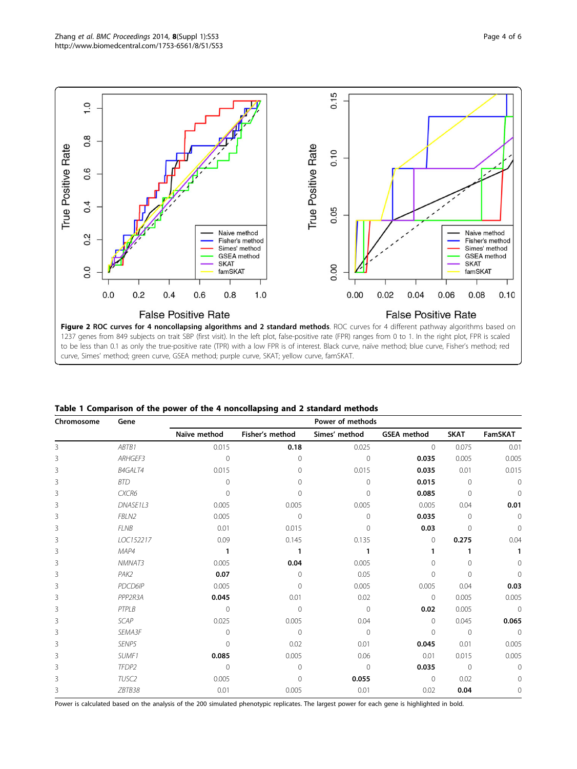<span id="page-3-0"></span>

|  |  | Table 1 Comparison of the power of the 4 noncollapsing and 2 standard methods |  |  |
|--|--|-------------------------------------------------------------------------------|--|--|
|  |  |                                                                               |  |  |

| Chromosome | Gene           | Power of methods |                 |                |                    |                |              |  |  |
|------------|----------------|------------------|-----------------|----------------|--------------------|----------------|--------------|--|--|
|            |                | Naïve method     | Fisher's method | Simes' method  | <b>GSEA</b> method | <b>SKAT</b>    | FamSKAT      |  |  |
| 3          | ABTB1          | 0.015            | 0.18            | 0.025          | $\mathbf{0}$       | 0.075          | 0.01         |  |  |
| 3          | ARHGEF3        | $\Omega$         | $\Omega$        | $\overline{0}$ | 0.035              | 0.005          | 0.005        |  |  |
| 3          | <b>B4GALT4</b> | 0.015            | $\Omega$        | 0.015          | 0.035              | 0.01           | 0.015        |  |  |
| 3          | <b>BTD</b>     | $\cap$           | $\Omega$        | $\Omega$       | 0.015              | $\mathbf{0}$   | $\Omega$     |  |  |
| 3          | CXCR6          | $\cap$           | $\Omega$        | $\Omega$       | 0.085              | $\overline{0}$ | $\Omega$     |  |  |
| 3          | DNASE1L3       | 0.005            | 0.005           | 0.005          | 0.005              | 0.04           | 0.01         |  |  |
| 3          | FBLN2          | 0.005            | $\mathbf{0}$    | $\mathbf 0$    | 0.035              | $\overline{0}$ | $\Omega$     |  |  |
| 3          | <b>FLNB</b>    | 0.01             | 0.015           | $\Omega$       | 0.03               | $\Omega$       | $\Omega$     |  |  |
| 3          | LOC152217      | 0.09             | 0.145           | 0.135          | $\mathbf{0}$       | 0.275          | 0.04         |  |  |
| 3          | MAP4           | $\mathbf{1}$     | 1               | 1              |                    |                |              |  |  |
| 3          | NMNAT3         | 0.005            | 0.04            | 0.005          | $\Omega$           | $\Omega$       | $\Omega$     |  |  |
| 3          | PAK2           | 0.07             | $\Omega$        | 0.05           | $\Omega$           | $\Omega$       | $\Omega$     |  |  |
| 3          | PDCD6IP        | 0.005            | $\Omega$        | 0.005          | 0.005              | 0.04           | 0.03         |  |  |
| 3          | PPP2R3A        | 0.045            | 0.01            | 0.02           | $\mathbf{0}$       | 0.005          | 0.005        |  |  |
| 3          | PTPLB          | $\Omega$         | $\Omega$        | $\mathbf{0}$   | 0.02               | 0.005          | $\Omega$     |  |  |
| 3          | <b>SCAP</b>    | 0.025            | 0.005           | 0.04           | $\Omega$           | 0.045          | 0.065        |  |  |
| 3          | SEMA3F         | $\Omega$         | $\Omega$        | $\mathbf{0}$   | $\Omega$           | $\Omega$       | $\Omega$     |  |  |
| 3          | SENP5          | ∩                | 0.02            | 0.01           | 0.045              | 0.01           | 0.005        |  |  |
| 3          | SUMF1          | 0.085            | 0.005           | 0.06           | 0.01               | 0.015          | 0.005        |  |  |
| 3          | TFDP2          | $\Omega$         | $\Omega$        | $\Omega$       | 0.035              | $\circ$        | $\Omega$     |  |  |
| 3          | TUSC2          | 0.005            | $\mathbf{0}$    | 0.055          | $\mathbf{0}$       | 0.02           | 0            |  |  |
| 3          | ZBTB38         | 0.01             | 0.005           | 0.01           | 0.02               | 0.04           | $\mathbf{0}$ |  |  |

Power is calculated based on the analysis of the 200 simulated phenotypic replicates. The largest power for each gene is highlighted in bold.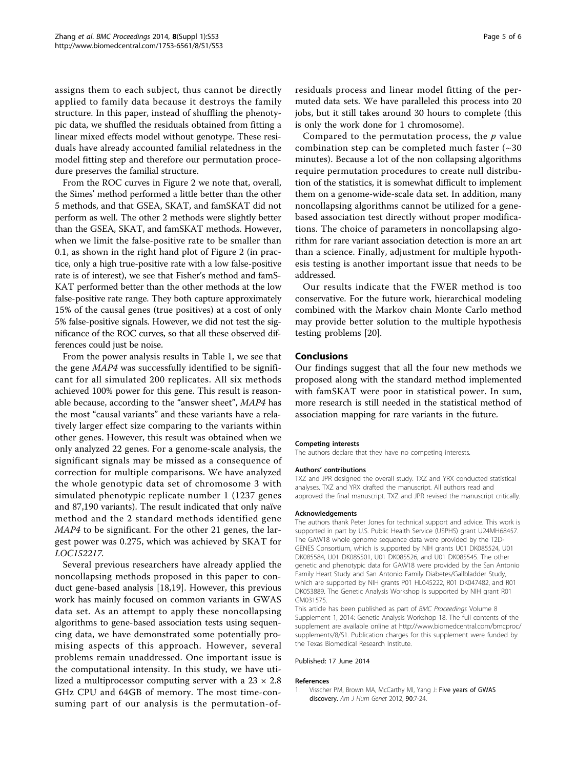<span id="page-4-0"></span>assigns them to each subject, thus cannot be directly applied to family data because it destroys the family structure. In this paper, instead of shuffling the phenotypic data, we shuffled the residuals obtained from fitting a linear mixed effects model without genotype. These residuals have already accounted familial relatedness in the model fitting step and therefore our permutation procedure preserves the familial structure.

From the ROC curves in Figure [2](#page-3-0) we note that, overall, the Simes' method performed a little better than the other 5 methods, and that GSEA, SKAT, and famSKAT did not perform as well. The other 2 methods were slightly better than the GSEA, SKAT, and famSKAT methods. However, when we limit the false-positive rate to be smaller than 0.1, as shown in the right hand plot of Figure [2](#page-3-0) (in practice, only a high true-positive rate with a low false-positive rate is of interest), we see that Fisher's method and famS-KAT performed better than the other methods at the low false-positive rate range. They both capture approximately 15% of the causal genes (true positives) at a cost of only 5% false-positive signals. However, we did not test the significance of the ROC curves, so that all these observed differences could just be noise.

From the power analysis results in Table [1,](#page-3-0) we see that the gene MAP4 was successfully identified to be significant for all simulated 200 replicates. All six methods achieved 100% power for this gene. This result is reasonable because, according to the "answer sheet", MAP4 has the most "causal variants" and these variants have a relatively larger effect size comparing to the variants within other genes. However, this result was obtained when we only analyzed 22 genes. For a genome-scale analysis, the significant signals may be missed as a consequence of correction for multiple comparisons. We have analyzed the whole genotypic data set of chromosome 3 with simulated phenotypic replicate number 1 (1237 genes and 87,190 variants). The result indicated that only naïve method and the 2 standard methods identified gene MAP4 to be significant. For the other 21 genes, the largest power was 0.275, which was achieved by SKAT for LOC152217.

Several previous researchers have already applied the noncollapsing methods proposed in this paper to conduct gene-based analysis [[18,19\]](#page-5-0). However, this previous work has mainly focused on common variants in GWAS data set. As an attempt to apply these noncollapsing algorithms to gene-based association tests using sequencing data, we have demonstrated some potentially promising aspects of this approach. However, several problems remain unaddressed. One important issue is the computational intensity. In this study, we have utilized a multiprocessor computing server with a  $23 \times 2.8$ GHz CPU and 64GB of memory. The most time-consuming part of our analysis is the permutation-of-

residuals process and linear model fitting of the permuted data sets. We have paralleled this process into 20 jobs, but it still takes around 30 hours to complete (this is only the work done for 1 chromosome).

Compared to the permutation process, the  $p$  value combination step can be completed much faster  $(\sim 30$ minutes). Because a lot of the non collapsing algorithms require permutation procedures to create null distribution of the statistics, it is somewhat difficult to implement them on a genome-wide-scale data set. In addition, many noncollapsing algorithms cannot be utilized for a genebased association test directly without proper modifications. The choice of parameters in noncollapsing algorithm for rare variant association detection is more an art than a science. Finally, adjustment for multiple hypothesis testing is another important issue that needs to be addressed.

Our results indicate that the FWER method is too conservative. For the future work, hierarchical modeling combined with the Markov chain Monte Carlo method may provide better solution to the multiple hypothesis testing problems [\[20](#page-5-0)].

#### Conclusions

Our findings suggest that all the four new methods we proposed along with the standard method implemented with famSKAT were poor in statistical power. In sum, more research is still needed in the statistical method of association mapping for rare variants in the future.

#### Competing interests

The authors declare that they have no competing interests.

#### Authors' contributions

TXZ and JPR designed the overall study. TXZ and YRX conducted statistical analyses. TXZ and YRX drafted the manuscript. All authors read and approved the final manuscript. TXZ and JPR revised the manuscript critically.

#### Acknowledgements

The authors thank Peter Jones for technical support and advice. This work is supported in part by U.S. Public Health Service (USPHS) grant U24MH68457. The GAW18 whole genome sequence data were provided by the T2D-GENES Consortium, which is supported by NIH grants U01 DK085524, U01 DK085584, U01 DK085501, U01 DK085526, and U01 DK085545. The other genetic and phenotypic data for GAW18 were provided by the San Antonio Family Heart Study and San Antonio Family Diabetes/Gallbladder Study, which are supported by NIH grants P01 HL045222, R01 DK047482, and R01 DK053889. The Genetic Analysis Workshop is supported by NIH grant R01 GM031575.

This article has been published as part of BMC Proceedings Volume 8 Supplement 1, 2014: Genetic Analysis Workshop 18. The full contents of the supplement are available online at [http://www.biomedcentral.com/bmcproc/](http://www.biomedcentral.com/bmcproc/supplements/8/S1) [supplements/8/S1.](http://www.biomedcentral.com/bmcproc/supplements/8/S1) Publication charges for this supplement were funded by the Texas Biomedical Research Institute.

#### Published: 17 June 2014

#### References

1. Visscher PM, Brown MA, McCarthy MI, Yang J: [Five years of GWAS](http://www.ncbi.nlm.nih.gov/pubmed/22243964?dopt=Abstract) [discovery.](http://www.ncbi.nlm.nih.gov/pubmed/22243964?dopt=Abstract) Am J Hum Genet 2012, 90:7-24.